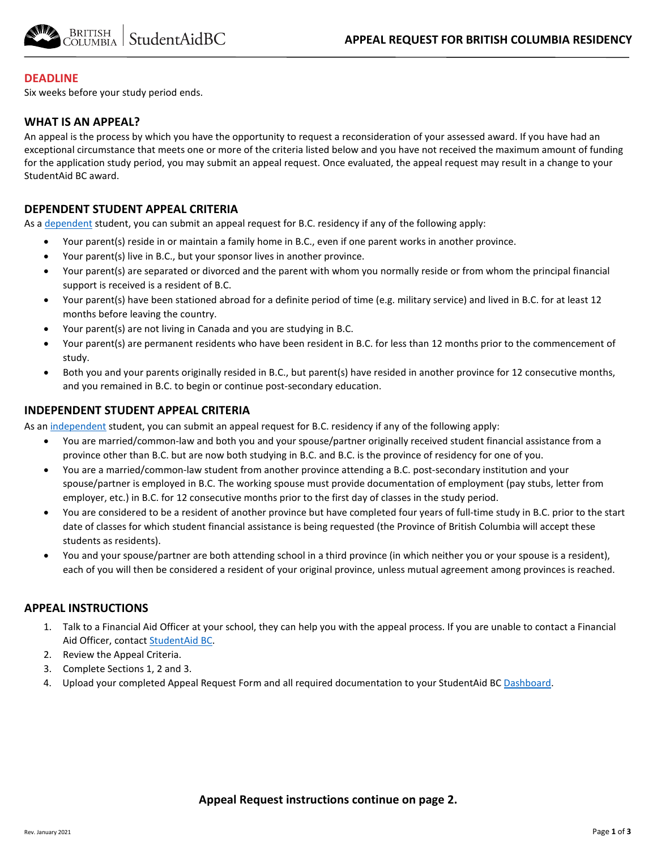

### **DEADLINE**

Six weeks before your study period ends.

### **WHAT IS AN APPEAL?**

An appeal is the process by which you have the opportunity to request a reconsideration of your assessed award. If you have had an exceptional circumstance that meets one or more of the criteria listed below and you have not received the maximum amount of funding for the application study period, you may submit an appeal request. Once evaluated, the appeal request may result in a change to your StudentAid BC award.

### **DEPENDENT STUDENT APPEAL CRITERIA**

As [a dependent](https://studentaidbc.ca/apply/eligibility#residency) student, you can submit an appeal request for B.C. residency if any of the following apply:

- Your parent(s) reside in or maintain a family home in B.C., even if one parent works in another province.
- Your parent(s) live in B.C., but your sponsor lives in another province.
- Your parent(s) are separated or divorced and the parent with whom you normally reside or from whom the principal financial support is received is a resident of B.C.
- Your parent(s) have been stationed abroad for a definite period of time (e.g. military service) and lived in B.C. for at least 12 months before leaving the country.
- Your parent(s) are not living in Canada and you are studying in B.C.
- Your parent(s) are permanent residents who have been resident in B.C. for less than 12 months prior to the commencement of study.
- Both you and your parents originally resided in B.C., but parent(s) have resided in another province for 12 consecutive months, and you remained in B.C. to begin or continue post-secondary education.

## **INDEPENDENT STUDENT APPEAL CRITERIA**

As an [independent](https://studentaidbc.ca/apply/eligibility#residency) student, you can submit an appeal request for B.C. residency if any of the following apply:

- You are married/common-law and both you and your spouse/partner originally received student financial assistance from a province other than B.C. but are now both studying in B.C. and B.C. is the province of residency for one of you.
- You are a married/common-law student from another province attending a B.C. post-secondary institution and your spouse/partner is employed in B.C. The working spouse must provide documentation of employment (pay stubs, letter from employer, etc.) in B.C. for 12 consecutive months prior to the first day of classes in the study period.
- You are considered to be a resident of another province but have completed four years of full-time study in B.C. prior to the start date of classes for which student financial assistance is being requested (the Province of British Columbia will accept these students as residents).
- You and your spouse/partner are both attending school in a third province (in which neither you or your spouse is a resident), each of you will then be considered a resident of your original province, unless mutual agreement among provinces is reached.

## **APPEAL INSTRUCTIONS**

- 1. Talk to a Financial Aid Officer at your school, they can help you with the appeal process. If you are unable to contact a Financial Aid Officer, contac[t StudentAid BC.](https://studentaidbc.ca/contact-information)
- 2. Review the Appeal Criteria.
- 3. Complete Sections 1, 2 and 3.
- 4. Upload your completed Appeal Request Form and all required documentation to your StudentAid BC [Dashboard.](https://studentaidbc.ca/dashboard)

## **Appeal Request instructions continue on page 2.**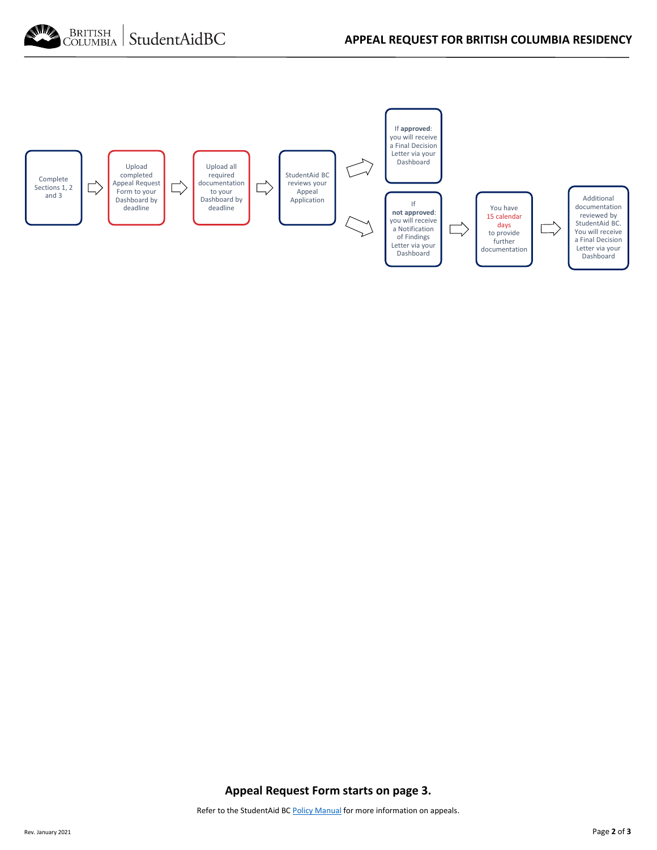



**Appeal Request Form starts on page 3.**